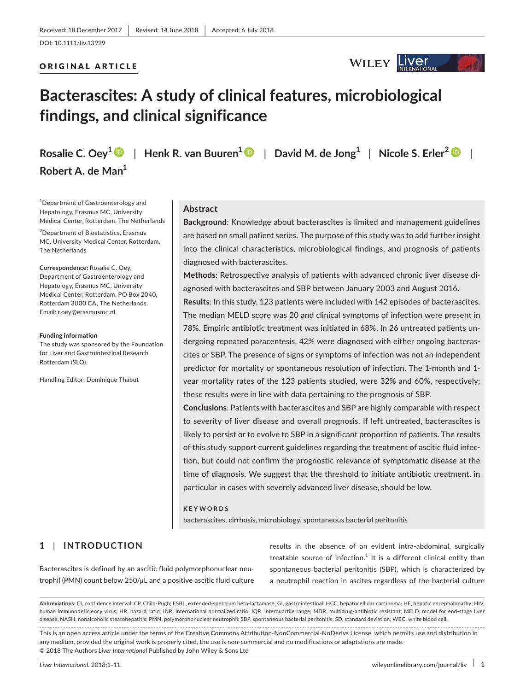#### ORIGINAL ARTICLE



# **Bacterascites: A study of clinical features, microbiological findings, and clinical significance**

**Robert A. de Man<sup>1</sup>**

**Rosalie C. Oey[1](http://orcid.org/0000-0003-1032-495X)** | **Henk R. van Buuren[1](http://orcid.org/0000-0002-1299-0553)** | **David M. de Jong<sup>1</sup>** | **Nicole S. Erler[2](http://orcid.org/0000-0002-9370-6832)** |

1 Department of Gastroenterology and Hepatology, Erasmus MC, University Medical Center, Rotterdam, The Netherlands

2 Department of Biostatistics, Erasmus MC, University Medical Center, Rotterdam, The Netherlands

**Correspondence:** Rosalie C. Oey, Department of Gastroenterology and Hepatology, Erasmus MC, University Medical Center, Rotterdam, PO Box 2040, Rotterdam 3000 CA, The Netherlands. Email: [r.oey@erasmusmc.nl](mailto:r.oey@erasmusmc.nl)

#### **Funding information**

The study was sponsored by the Foundation for Liver and Gastrointestinal Research Rotterdam (SLO).

Handling Editor: Dominique Thabut

#### **Abstract**

**Background**: Knowledge about bacterascites is limited and management guidelines are based on small patient series. The purpose of this study was to add further insight into the clinical characteristics, microbiological findings, and prognosis of patients diagnosed with bacterascites.

**Methods**: Retrospective analysis of patients with advanced chronic liver disease diagnosed with bacterascites and SBP between January 2003 and August 2016.

**Results**: In this study, 123 patients were included with 142 episodes of bacterascites. The median MELD score was 20 and clinical symptoms of infection were present in 78%. Empiric antibiotic treatment was initiated in 68%. In 26 untreated patients undergoing repeated paracentesis, 42% were diagnosed with either ongoing bacterascites or SBP. The presence of signs or symptoms of infection was not an independent predictor for mortality or spontaneous resolution of infection. The 1-month and 1 year mortality rates of the 123 patients studied, were 32% and 60%, respectively; these results were in line with data pertaining to the prognosis of SBP.

**Conclusions**: Patients with bacterascites and SBP are highly comparable with respect to severity of liver disease and overall prognosis. If left untreated, bacterascites is likely to persist or to evolve to SBP in a significant proportion of patients. The results of this study support current guidelines regarding the treatment of ascitic fluid infection, but could not confirm the prognostic relevance of symptomatic disease at the time of diagnosis. We suggest that the threshold to initiate antibiotic treatment, in particular in cases with severely advanced liver disease, should be low.

#### **KEYWORDS**

bacterascites, cirrhosis, microbiology, spontaneous bacterial peritonitis

# **1** | **INTRODUCTION**

Bacterascites is defined by an ascitic fluid polymorphonuclear neutrophil (PMN) count below 250/μL and a positive ascitic fluid culture results in the absence of an evident intra-abdominal, surgically treatable source of infection. $<sup>1</sup>$  It is a different clinical entity than</sup> spontaneous bacterial peritonitis (SBP), which is characterized by a neutrophil reaction in ascites regardless of the bacterial culture

**Abbreviations:** CI, confidence interval; CP, Child-Pugh; ESBL, extended-spectrum beta-lactamase; GI, gastrointestinal; HCC, hepatocellular carcinoma; HE, hepatic encephalopathy; HIV, human immunodeficiency virus; HR, hazard ratio; INR, international normalized ratio; IQR, interquartile range; MDR, multidrug-antibiotic resistant; MELD, model for end-stage liver disease; NASH, nonalcoholic steatohepatitis; PMN, polymorphonuclear neutrophil; SBP, spontaneous bacterial peritonitis; SD, standard deviation; WBC, white blood cell. This is an open access article under the terms of the Creative Commons [Attribution-NonCommercial-NoDerivs](http://creativecommons.org/licenses/by-nc-nd/4.0/) License, which permits use and distribution in any medium, provided the original work is properly cited, the use is non-commercial and no modifications or adaptations are made. © 2018 The Authors *Liver International* Published by John Wiley & Sons Ltd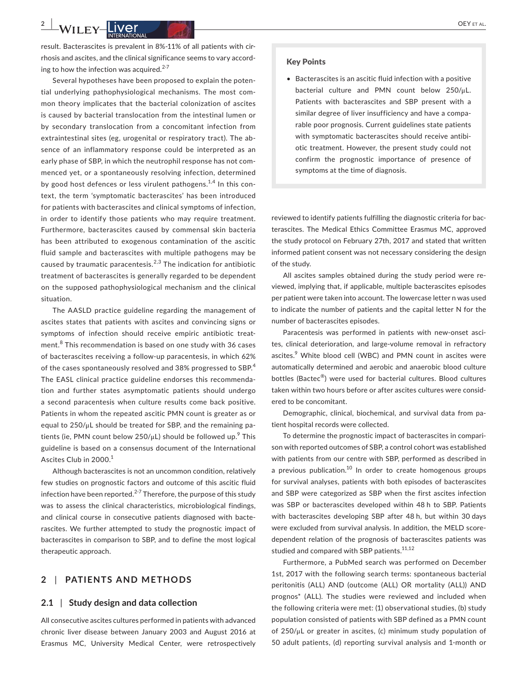result. Bacterascites is prevalent in 8%-11% of all patients with cirrhosis and ascites, and the clinical significance seems to vary according to how the infection was acquired. $2-7$ 

Several hypotheses have been proposed to explain the potential underlying pathophysiological mechanisms. The most common theory implicates that the bacterial colonization of ascites is caused by bacterial translocation from the intestinal lumen or by secondary translocation from a concomitant infection from extraintestinal sites (eg, urogenital or respiratory tract). The absence of an inflammatory response could be interpreted as an early phase of SBP, in which the neutrophil response has not commenced yet, or a spontaneously resolving infection, determined by good host defences or less virulent pathogens.<sup>1,4</sup> In this context, the term 'symptomatic bacterascites' has been introduced for patients with bacterascites and clinical symptoms of infection, in order to identify those patients who may require treatment. Furthermore, bacterascites caused by commensal skin bacteria has been attributed to exogenous contamination of the ascitic fluid sample and bacterascites with multiple pathogens may be caused by traumatic paracentesis.<sup>2,3</sup> The indication for antibiotic treatment of bacterascites is generally regarded to be dependent on the supposed pathophysiological mechanism and the clinical situation.

The AASLD practice guideline regarding the management of ascites states that patients with ascites and convincing signs or symptoms of infection should receive empiric antibiotic treatment.<sup>8</sup> This recommendation is based on one study with 36 cases of bacterascites receiving a follow-up paracentesis, in which 62% of the cases spontaneously resolved and 38% progressed to SBP.<sup>4</sup> The EASL clinical practice guideline endorses this recommendation and further states asymptomatic patients should undergo a second paracentesis when culture results come back positive. Patients in whom the repeated ascitic PMN count is greater as or equal to 250/μL should be treated for SBP, and the remaining patients (ie, PMN count below  $250/\mu$ L) should be followed up.<sup>9</sup> This guideline is based on a consensus document of the International Ascites Club in 2000.<sup>1</sup>

Although bacterascites is not an uncommon condition, relatively few studies on prognostic factors and outcome of this ascitic fluid infection have been reported.<sup>2-7</sup> Therefore, the purpose of this study was to assess the clinical characteristics, microbiological findings, and clinical course in consecutive patients diagnosed with bacterascites. We further attempted to study the prognostic impact of bacterascites in comparison to SBP, and to define the most logical therapeutic approach.

## **2** | **PATIENTS AND METHODS**

#### **2.1** | **Study design and data collection**

All consecutive ascites cultures performed in patients with advanced chronic liver disease between January 2003 and August 2016 at Erasmus MC, University Medical Center, were retrospectively

#### Key Points

• Bacterascites is an ascitic fluid infection with a positive bacterial culture and PMN count below 250/μL. Patients with bacterascites and SBP present with a similar degree of liver insufficiency and have a comparable poor prognosis. Current guidelines state patients with symptomatic bacterascites should receive antibiotic treatment. However, the present study could not confirm the prognostic importance of presence of symptoms at the time of diagnosis.

reviewed to identify patients fulfilling the diagnostic criteria for bacterascites. The Medical Ethics Committee Erasmus MC, approved the study protocol on February 27th, 2017 and stated that written informed patient consent was not necessary considering the design of the study.

All ascites samples obtained during the study period were reviewed, implying that, if applicable, multiple bacterascites episodes per patient were taken into account. The lowercase letter n was used to indicate the number of patients and the capital letter N for the number of bacterascites episodes.

Paracentesis was performed in patients with new-onset ascites, clinical deterioration, and large-volume removal in refractory ascites.<sup>9</sup> White blood cell (WBC) and PMN count in ascites were automatically determined and aerobic and anaerobic blood culture bottles (Bactec®) were used for bacterial cultures. Blood cultures taken within two hours before or after ascites cultures were considered to be concomitant.

Demographic, clinical, biochemical, and survival data from patient hospital records were collected.

To determine the prognostic impact of bacterascites in comparison with reported outcomes of SBP, a control cohort was established with patients from our centre with SBP, performed as described in a previous publication.<sup>10</sup> In order to create homogenous groups for survival analyses, patients with both episodes of bacterascites and SBP were categorized as SBP when the first ascites infection was SBP or bacterascites developed within 48 h to SBP. Patients with bacterascites developing SBP after 48 h, but within 30 days were excluded from survival analysis. In addition, the MELD scoredependent relation of the prognosis of bacterascites patients was studied and compared with SBP patients.<sup>11,12</sup>

Furthermore, a PubMed search was performed on December 1st, 2017 with the following search terms: spontaneous bacterial peritonitis (ALL) AND (outcome (ALL) OR mortality (ALL)) AND prognos\* (ALL). The studies were reviewed and included when the following criteria were met: (1) observational studies, (b) study population consisted of patients with SBP defined as a PMN count of 250/μL or greater in ascites, (c) minimum study population of 50 adult patients, (d) reporting survival analysis and 1-month or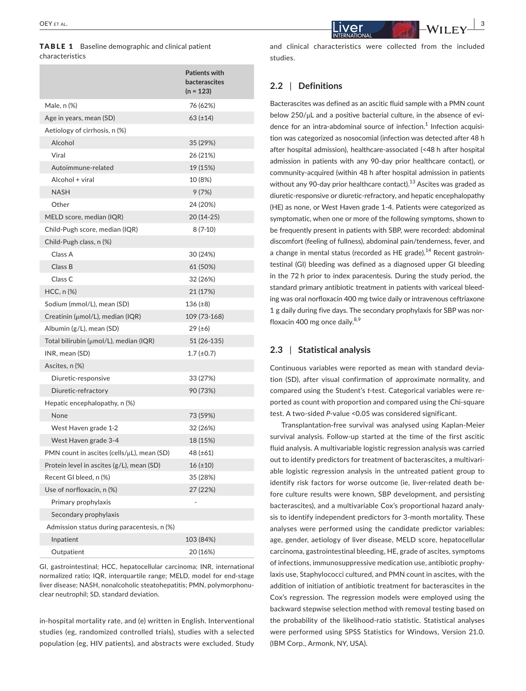TABLE 1 Baseline demographic and clinical patient characteristics

|                                                    | <b>Patients with</b><br>bacterascites<br>(n = 123) |
|----------------------------------------------------|----------------------------------------------------|
| Male, n (%)                                        | 76 (62%)                                           |
| Age in years, mean (SD)                            | $63$ ( $\pm$ 14)                                   |
| Aetiology of cirrhosis, n (%)                      |                                                    |
| Alcohol                                            | 35 (29%)                                           |
| Viral                                              | 26 (21%)                                           |
| Autoimmune-related                                 | 19 (15%)                                           |
| Alcohol + viral                                    | 10 (8%)                                            |
| <b>NASH</b>                                        | 9(7%)                                              |
| Other                                              | 24 (20%)                                           |
| MELD score, median (IQR)                           | 20 (14-25)                                         |
| Child-Pugh score, median (IQR)                     | $8(7-10)$                                          |
| Child-Pugh class, n (%)                            |                                                    |
| Class A                                            | 30 (24%)                                           |
| Class B                                            | 61 (50%)                                           |
| Class <sub>C</sub>                                 | 32 (26%)                                           |
| $HCC, n$ $%$                                       | 21 (17%)                                           |
| Sodium (mmol/L), mean (SD)                         | 136 (±8)                                           |
| $C$ reatinin (µmol/L), median (IQR)                | 109 (73-168)                                       |
| Albumin (g/L), mean (SD)                           | 29 (±6)                                            |
| Total bilirubin (µmol/L), median (IQR)             | 51 (26-135)                                        |
| INR, mean (SD)                                     | $1.7 \, (\pm 0.7)$                                 |
| Ascites, n (%)                                     |                                                    |
| Diuretic-responsive                                | 33 (27%)                                           |
| Diuretic-refractory                                | 90 (73%)                                           |
| Hepatic encephalopathy, n (%)                      |                                                    |
| None                                               | 73 (59%)                                           |
| West Haven grade 1-2                               | 32 (26%)                                           |
| West Haven grade 3-4                               | 18 (15%)                                           |
| $PMN$ count in ascites (cells/ $\mu$ L), mean (SD) | 48 (±61)                                           |
| Protein level in ascites (g/L), mean (SD)          | 16(±10)                                            |
| Recent GI bleed, n (%)                             | 35 (28%)                                           |
| Use of norfloxacin, n (%)                          | 27 (22%)                                           |
| Primary prophylaxis                                |                                                    |
| Secondary prophylaxis                              |                                                    |
| Admission status during paracentesis, n (%)        |                                                    |
| Inpatient                                          | 103 (84%)                                          |
| Outpatient                                         | 20 (16%)                                           |

GI, gastrointestinal; HCC, hepatocellular carcinoma; INR, international normalized ratio; IQR, interquartile range; MELD, model for end-stage liver disease; NASH, nonalcoholic steatohepatitis; PMN, polymorphonuclear neutrophil; SD, standard deviation.

in-hospital mortality rate, and (e) written in English. Interventional studies (eg, randomized controlled trials), studies with a selected population (eg, HIV patients), and abstracts were excluded. Study and clinical characteristics were collected from the included studies.

#### **2.2** | **Definitions**

Bacterascites was defined as an ascitic fluid sample with a PMN count below 250/μL and a positive bacterial culture, in the absence of evidence for an intra-abdominal source of infection.<sup>1</sup> Infection acquisition was categorized as nosocomial (infection was detected after 48 h after hospital admission), healthcare-associated (<48 h after hospital admission in patients with any 90-day prior healthcare contact), or community-acquired (within 48 h after hospital admission in patients without any 90-day prior healthcare contact).<sup>13</sup> Ascites was graded as diuretic-responsive or diuretic-refractory, and hepatic encephalopathy (HE) as none, or West Haven grade 1-4. Patients were categorized as symptomatic, when one or more of the following symptoms, shown to be frequently present in patients with SBP, were recorded: abdominal discomfort (feeling of fullness), abdominal pain/tenderness, fever, and a change in mental status (recorded as HE grade).<sup>14</sup> Recent gastrointestinal (GI) bleeding was defined as a diagnosed upper GI bleeding in the 72 h prior to index paracentesis. During the study period, the standard primary antibiotic treatment in patients with variceal bleeding was oral norfloxacin 400 mg twice daily or intravenous ceftriaxone 1 g daily during five days. The secondary prophylaxis for SBP was norfloxacin 400 mg once daily. $8,9$ 

#### **2.3** | **Statistical analysis**

Continuous variables were reported as mean with standard deviation (SD), after visual confirmation of approximate normality, and compared using the Student's *t*-test. Categorical variables were reported as count with proportion and compared using the Chi-square test. A two-sided *P*-value <0.05 was considered significant.

Transplantation-free survival was analysed using Kaplan-Meier survival analysis. Follow-up started at the time of the first ascitic fluid analysis. A multivariable logistic regression analysis was carried out to identify predictors for treatment of bacterascites, a multivariable logistic regression analysis in the untreated patient group to identify risk factors for worse outcome (ie, liver-related death before culture results were known, SBP development, and persisting bacterascites), and a multivariable Cox's proportional hazard analysis to identify independent predictors for 3-month mortality. These analyses were performed using the candidate predictor variables: age, gender, aetiology of liver disease, MELD score, hepatocellular carcinoma, gastrointestinal bleeding, HE, grade of ascites, symptoms of infections, immunosuppressive medication use, antibiotic prophylaxis use, Staphylococci cultured, and PMN count in ascites, with the addition of initiation of antibiotic treatment for bacterascites in the Cox's regression. The regression models were employed using the backward stepwise selection method with removal testing based on the probability of the likelihood-ratio statistic. Statistical analyses were performed using SPSS Statistics for Windows, Version 21.0. (IBM Corp., Armonk, NY, USA).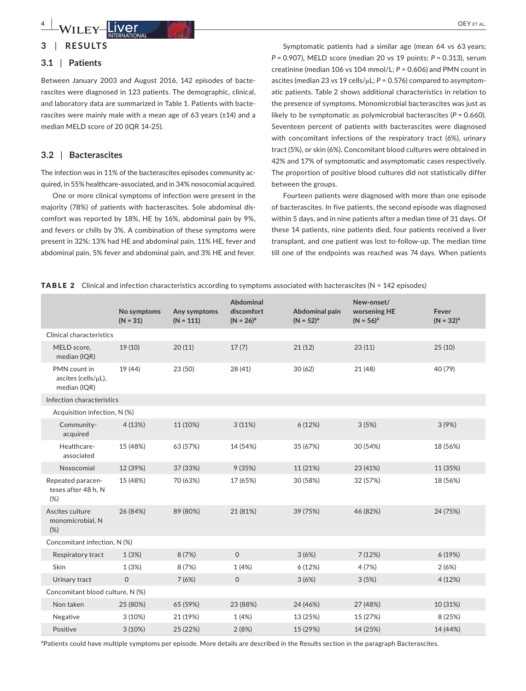**4** *LOUGH DEYETAL OEYETAL* 

# **3** | **RESULTS**

# **3.1** | **Patients**

Between January 2003 and August 2016, 142 episodes of bacterascites were diagnosed in 123 patients. The demographic, clinical, and laboratory data are summarized in Table 1. Patients with bacterascites were mainly male with a mean age of 63 years (±14) and a median MELD score of 20 (IQR 14-25).

#### **3.2** | **Bacterascites**

The infection was in 11% of the bacterascites episodes community acquired, in 55% healthcare-associated, and in 34% nosocomial acquired.

One or more clinical symptoms of infection were present in the majority (78%) of patients with bacterascites. Sole abdominal discomfort was reported by 18%, HE by 16%, abdominal pain by 9%, and fevers or chills by 3%. A combination of these symptoms were present in 32%: 13% had HE and abdominal pain, 11% HE, fever and abdominal pain, 5% fever and abdominal pain, and 3% HE and fever.

Symptomatic patients had a similar age (mean 64 vs 63 years; *P* = 0.907), MELD score (median 20 vs 19 points; *P* = 0.313), serum creatinine (median 106 vs 104 mmol/L; *P* = 0.606) and PMN count in ascites (median 23 vs 19 cells/μL; *P* = 0.576) compared to asymptomatic patients. Table 2 shows additional characteristics in relation to the presence of symptoms. Monomicrobial bacterascites was just as likely to be symptomatic as polymicrobial bacterascites (*P* = 0.660). Seventeen percent of patients with bacterascites were diagnosed with concomitant infections of the respiratory tract (6%), urinary tract (5%), or skin (6%). Concomitant blood cultures were obtained in 42% and 17% of symptomatic and asymptomatic cases respectively. The proportion of positive blood cultures did not statistically differ between the groups.

Fourteen patients were diagnosed with more than one episode of bacterascites. In five patients, the second episode was diagnosed within 5 days, and in nine patients after a median time of 31 days. Of these 14 patients, nine patients died, four patients received a liver transplant, and one patient was lost to-follow-up. The median time till one of the endpoints was reached was 74 days. When patients

**TABLE 2** Clinical and infection characteristics according to symptoms associated with bacterascites ( $N = 142$  episodes)

|                                                     | No symptoms<br>$(N = 31)$ | Any symptoms<br>$(N = 111)$ | Abdominal<br>discomfort<br>$(N = 26)^a$ | Abdominal pain<br>$(N = 52)^{a}$ | New-onset/<br>worsening HE<br>$(N = 56)^a$ | Fever<br>$(N = 32)^{a}$ |
|-----------------------------------------------------|---------------------------|-----------------------------|-----------------------------------------|----------------------------------|--------------------------------------------|-------------------------|
| <b>Clinical characteristics</b>                     |                           |                             |                                         |                                  |                                            |                         |
| MELD score,<br>median (IQR)                         | 19 (10)                   | 20(11)                      | 17(7)                                   | 21(12)                           | 23(11)                                     | 25(10)                  |
| PMN count in<br>ascites (cells/µL),<br>median (IQR) | 19 (44)                   | 23 (50)                     | 28 (41)                                 | 30(62)                           | 21 (48)                                    | 40 (79)                 |
| Infection characteristics                           |                           |                             |                                         |                                  |                                            |                         |
| Acquisition infection, N (%)                        |                           |                             |                                         |                                  |                                            |                         |
| Community-<br>acquired                              | 4(13%)                    | 11 (10%)                    | 3(11%)                                  | 6(12%)                           | 3(5%)                                      | 3(9%)                   |
| Healthcare-<br>associated                           | 15 (48%)                  | 63 (57%)                    | 14 (54%)                                | 35 (67%)                         | 30 (54%)                                   | 18 (56%)                |
| Nosocomial                                          | 12 (39%)                  | 37 (33%)                    | 9(35%)                                  | 11 (21%)                         | 23 (41%)                                   | 11 (35%)                |
| Repeated paracen-<br>teses after 48 h, N<br>(%)     | 15 (48%)                  | 70 (63%)                    | 17 (65%)                                | 30 (58%)                         | 32 (57%)                                   | 18 (56%)                |
| Ascites culture<br>monomicrobial, N<br>(%)          | 26 (84%)                  | 89 (80%)                    | 21 (81%)                                | 39 (75%)                         | 46 (82%)                                   | 24 (75%)                |
| Concomitant infection, N (%)                        |                           |                             |                                         |                                  |                                            |                         |
| Respiratory tract                                   | 1(3%)                     | 8(7%)                       | $\mathsf{O}$                            | 3(6%)                            | 7(12%)                                     | 6 (19%)                 |
| Skin                                                | 1(3%)                     | 8 (7%)                      | 1(4%)                                   | 6(12%)                           | 4(7%)                                      | 2(6%)                   |
| Urinary tract                                       | $\mathbf 0$               | 7(6%)                       | $\mathbf{O}$                            | 3(6%)                            | 3(5%)                                      | 4(12%)                  |
| Concomitant blood culture, N (%)                    |                           |                             |                                         |                                  |                                            |                         |
| Non taken                                           | 25 (80%)                  | 65 (59%)                    | 23 (88%)                                | 24 (46%)                         | 27 (48%)                                   | 10 (31%)                |
| Negative                                            | 3(10%)                    | 21 (19%)                    | 1 (4%)                                  | 13 (25%)                         | 15 (27%)                                   | 8 (25%)                 |
| Positive                                            | 3(10%)                    | 25 (22%)                    | 2(8%)                                   | 15 (29%)                         | 14 (25%)                                   | 14 (44%)                |

<sup>a</sup>Patients could have multiple symptoms per episode. More details are described in the Results section in the paragraph Bacterascites.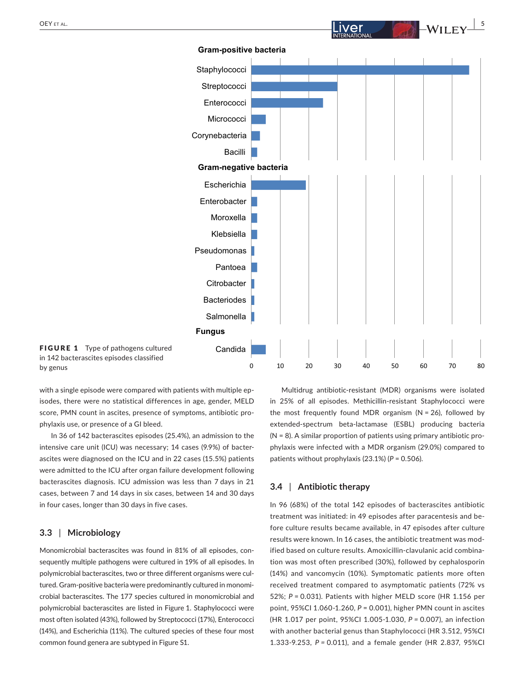

with a single episode were compared with patients with multiple episodes, there were no statistical differences in age, gender, MELD score, PMN count in ascites, presence of symptoms, antibiotic prophylaxis use, or presence of a GI bleed.

In 36 of 142 bacterascites episodes (25.4%), an admission to the intensive care unit (ICU) was necessary; 14 cases (9.9%) of bacterascites were diagnosed on the ICU and in 22 cases (15.5%) patients were admitted to the ICU after organ failure development following bacterascites diagnosis. ICU admission was less than 7 days in 21 cases, between 7 and 14 days in six cases, between 14 and 30 days in four cases, longer than 30 days in five cases.

#### **3.3** | **Microbiology**

Monomicrobial bacterascites was found in 81% of all episodes, consequently multiple pathogens were cultured in 19% of all episodes. In polymicrobial bacterascites, two or three different organisms were cultured. Gram-positive bacteria were predominantly cultured in monomicrobial bacterascites. The 177 species cultured in monomicrobial and polymicrobial bacterascites are listed in Figure 1. Staphylococci were most often isolated (43%), followed by Streptococci (17%), Enterococci (14%), and Escherichia (11%). The cultured species of these four most common found genera are subtyped in Figure S1.

Multidrug antibiotic-resistant (MDR) organisms were isolated in 25% of all episodes. Methicillin-resistant Staphylococci were the most frequently found MDR organism ( $N = 26$ ), followed by extended-spectrum beta-lactamase (ESBL) producing bacteria  $(N = 8)$ . A similar proportion of patients using primary antibiotic prophylaxis were infected with a MDR organism (29.0%) compared to patients without prophylaxis (23.1%) (*P* = 0.506).

# **3.4** | **Antibiotic therapy**

In 96 (68%) of the total 142 episodes of bacterascites antibiotic treatment was initiated: in 49 episodes after paracentesis and before culture results became available, in 47 episodes after culture results were known. In 16 cases, the antibiotic treatment was modified based on culture results. Amoxicillin-clavulanic acid combination was most often prescribed (30%), followed by cephalosporin (14%) and vancomycin (10%). Symptomatic patients more often received treatment compared to asymptomatic patients (72% vs 52%; *P* = 0.031). Patients with higher MELD score (HR 1.156 per point, 95%CI 1.060-1.260, *P* = 0.001), higher PMN count in ascites (HR 1.017 per point, 95%CI 1.005-1.030, *P =* 0.007), an infection with another bacterial genus than Staphylococci (HR 3.512, 95%CI 1.333-9.253, *P =* 0.011), and a female gender (HR 2.837, 95%CI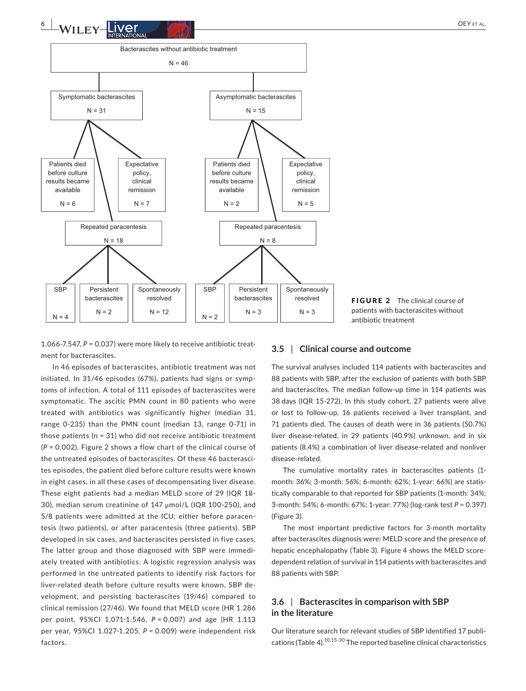

FIGURE 2 The clinical course of patients with bacterascites without antibiotic treatment

1.066-7.547, *P =* 0.037) were more likely to receive antibiotic treatment for bacterascites.

In 46 episodes of bacterascites, antibiotic treatment was not initiated. In 31/46 episodes (67%), patients had signs or symptoms of infection. A total of 111 episodes of bacterascites were symptomatic. The ascitic PMN count in 80 patients who were treated with antibiotics was significantly higher (median 31, range 0-235) than the PMN count (median 13, range 0-71) in those patients ( $n = 31$ ) who did not receive antibiotic treatment (*P* = 0.002). Figure 2 shows a flow chart of the clinical course of the untreated episodes of bacterascites. Of these 46 bacterascites episodes, the patient died before culture results were known in eight cases, in all these cases of decompensating liver disease. These eight patients had a median MELD score of 29 (IQR 18- 30), median serum creatinine of 147 μmol/L (IQR 100-250), and 5/8 patients were admitted at the ICU; either before paracentesis (two patients), or after paracentesis (three patients). SBP developed in six cases, and bacterascites persisted in five cases. The latter group and those diagnosed with SBP were immediately treated with antibiotics. A logistic regression analysis was performed in the untreated patients to identify risk factors for liver-related death before culture results were known, SBP development, and persisting bacterascites (19/46) compared to clinical remission (27/46). We found that MELD score (HR 1.286 per point, 95%CI 1.071-1.546, *P* = 0.007) and age (HR 1.113 per year, 95%CI 1.027-1.205, *P =* 0.009) were independent risk factors.

#### **3.5** | **Clinical course and outcome**

The survival analyses included 114 patients with bacterascites and 88 patients with SBP, after the exclusion of patients with both SBP and bacterascites. The median follow-up time in 114 patients was 38 days (IQR 15-272). In this study cohort, 27 patients were alive or lost to follow-up, 16 patients received a liver transplant, and 71 patients died. The causes of death were in 36 patients (50.7%) liver disease-related, in 29 patients (40.9%) unknown, and in six patients (8.4%) a combination of liver disease-related and nonliver disease-related.

The cumulative mortality rates in bacterascites patients (1 month: 36%; 3-month: 56%; 6-month: 62%; 1-year: 66%) are statistically comparable to that reported for SBP patients (1-month: 34%; 3-month: 54%; 6-month: 67%; 1-year: 77%) (log-rank test *P* = 0.397) (Figure 3).

The most important predictive factors for 3-month mortality after bacterascites diagnosis were: MELD score and the presence of hepatic encephalopathy (Table 3). Figure 4 shows the MELD scoredependent relation of survival in 114 patients with bacterascites and 88 patients with SBP.

# **3.6** | **Bacterascites in comparison with SBP in the literature**

Our literature search for relevant studies of SBP identified 17 publications (Table 4).10,15-30 The reported baseline clinical characteristics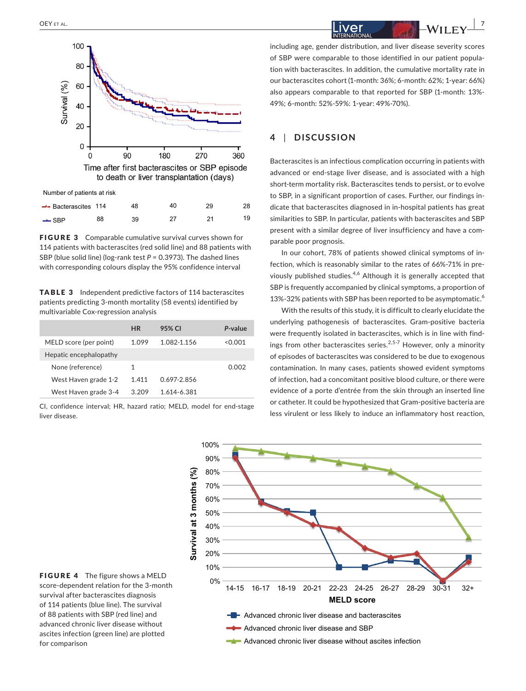

| $\rightarrow$ - Bacterascites 114 |    | 48 | 40 | 28 |
|-----------------------------------|----|----|----|----|
| $-$ SBP                           | 88 | 39 |    | 19 |

FIGURE 3 Comparable cumulative survival curves shown for 114 patients with bacterascites (red solid line) and 88 patients with SBP (blue solid line) (log-rank test *P* = 0.3973). The dashed lines with corresponding colours display the 95% confidence interval

TABLE 3 Independent predictive factors of 114 bacterascites patients predicting 3-month mortality (58 events) identified by multivariable Cox-regression analysis

|                        | <b>HR</b> | 95% CI      | P-value |
|------------------------|-----------|-------------|---------|
| MELD score (per point) | 1.099     | 1.082-1.156 | <0.001  |
| Hepatic encephalopathy |           |             |         |
| None (reference)       | 1         |             | 0.002   |
| West Haven grade 1-2   | 1.411     | 0.697-2.856 |         |
| West Haven grade 3-4   | 3.209     | 1.614-6.381 |         |

CI, confidence interval; HR, hazard ratio; MELD, model for end-stage liver disease.

 **|** OEY et al. **7**

including age, gender distribution, and liver disease severity scores of SBP were comparable to those identified in our patient population with bacterascites. In addition, the cumulative mortality rate in our bacterascites cohort (1-month: 36%; 6-month: 62%; 1-year: 66%) also appears comparable to that reported for SBP (1-month: 13%- 49%; 6-month: 52%-59%: 1-year: 49%-70%).

# **4** | **DISCUSSION**

Bacterascites is an infectious complication occurring in patients with advanced or end-stage liver disease, and is associated with a high short-term mortality risk. Bacterascites tends to persist, or to evolve to SBP, in a significant proportion of cases. Further, our findings indicate that bacterascites diagnosed in in-hospital patients has great similarities to SBP. In particular, patients with bacterascites and SBP present with a similar degree of liver insufficiency and have a comparable poor prognosis.

In our cohort, 78% of patients showed clinical symptoms of infection, which is reasonably similar to the rates of 66%-71% in previously published studies.<sup>4,6</sup> Although it is generally accepted that SBP is frequently accompanied by clinical symptoms, a proportion of 13%-32% patients with SBP has been reported to be asymptomatic.<sup>6</sup>

With the results of this study, it is difficult to clearly elucidate the underlying pathogenesis of bacterascites. Gram-positive bacteria were frequently isolated in bacterascites, which is in line with findings from other bacterascites series.<sup>2,5-7</sup> However, only a minority of episodes of bacterascites was considered to be due to exogenous contamination. In many cases, patients showed evident symptoms of infection, had a concomitant positive blood culture, or there were evidence of a porte d'entrée from the skin through an inserted line or catheter. It could be hypothesized that Gram-positive bacteria are less virulent or less likely to induce an inflammatory host reaction,



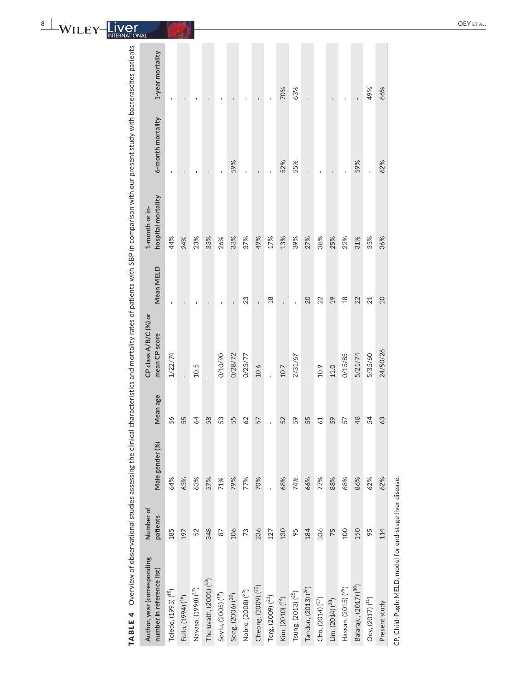**8 |**  $\mathbf{M}_{\mathbf{U}}$  **<b>|**  $\mathbf{I}_{\mathbf{V}}$  **|**  $\mathbf{M}_{\mathbf{U}}$  **<b>|**  $\mathbf{I}_{\mathbf{V}}$  **|**  $\mathbf{M}_{\mathbf{U}}$  **|**  $\mathbf{M}_{\mathbf{U}}$  **|**  $\mathbf{M}_{\mathbf{U}}$  **|**  $\mathbf{M}_{\mathbf{U}}$  **|**  $\mathbf{M}_{\mathbf{U}}$  **|**  $\mathbf{M}_{\mathbf{U}}$  **|**  $\mathbf{M}_{\mathbf{U}}$  **|**

| TABLE 4                                                  |                       |                 |          |                                        |                | Overview of observational studies assessing the clinical characteristics and mortality rates of patients with SBP in comparison with our present study with bacterascites patients |                   |                  |
|----------------------------------------------------------|-----------------------|-----------------|----------|----------------------------------------|----------------|------------------------------------------------------------------------------------------------------------------------------------------------------------------------------------|-------------------|------------------|
| Author, year (corresponding<br>number in reference list) | Number of<br>patients | Male gender (%) | Mean age | CP class A/B/C (%) or<br>mean CP score | Mean MELD      | hospital mortality<br>1-month or in-                                                                                                                                               | 6-month mortality | 1-year mortality |
| Toledo, (1993) ( <sup>15</sup> )                         | 185                   | 64%             | 56       | 1/22/74                                |                | 44%                                                                                                                                                                                |                   |                  |
| Follo, (1994) ( <sup>16</sup> )                          | 197                   | 63%             | 55       |                                        |                | 24%                                                                                                                                                                                |                   |                  |
| Navasa, (1998) (17)                                      | 52                    | 63%             | 64       | 10.5                                   |                | 23%                                                                                                                                                                                |                   |                  |
| Thuluvath, (2001) ( <sup>18</sup> )                      | 348                   | 57%             | 58       | l,                                     |                | 33%                                                                                                                                                                                | $\blacksquare$    |                  |
| Soylu, (2005) ( <sup>19</sup> )                          | 87                    | 71%             | S3       | 0/10/90                                |                | 26%                                                                                                                                                                                |                   |                  |
| Song, (2006) ( <sup>20</sup> )                           | 106                   | 79%             | 55       | 0/28/72                                |                | 33%                                                                                                                                                                                | 59%               |                  |
| Nobre, (2008) ( <sup>21</sup> )                          | 73                    | 77%             | 29       | 0/23/77                                | 23             | 37%                                                                                                                                                                                |                   |                  |
| Cheong, (2009) ( <sup>22</sup> )                         | 236                   | 70%             | 57       | 10.6                                   |                | 49%                                                                                                                                                                                |                   |                  |
| Terg, (2009) ( <sup>23</sup> )                           | 127                   |                 |          |                                        | 18             | 17%                                                                                                                                                                                |                   |                  |
| Kim, (2010) ( <sup>24</sup> )                            | 130                   | 68%             | 52       | 10.7                                   | ï              | 13%                                                                                                                                                                                | 52%               | 70%              |
| Tsung, (2013) ( <sup>25</sup> )                          | 95                    | 74%             | 59       | 2/31/67                                |                | 39%                                                                                                                                                                                | 55%               | 63%              |
| Tandon, (2013) ( <sup>26</sup> )                         | 184                   | 66%             | 55       |                                        | 20             | 27%                                                                                                                                                                                | ï                 | $\overline{1}$   |
| Cho, (2014) ( <sup>27</sup> )                            | 336                   | 77%             | 22       | 10.9                                   | 22             | 38%                                                                                                                                                                                | J.                |                  |
| Lim, (2014) ( <sup>28</sup> )                            | 75                    | 88%             | 59       | 11.0                                   | 19             | 25%                                                                                                                                                                                |                   |                  |
| Hassan, $(2015)(^{29})$                                  | 100                   | 68%             | 57       | 0/15/85                                | $\frac{8}{18}$ | 22%                                                                                                                                                                                |                   |                  |
| Balaraju, (2017) ( <sup>30</sup> )                       | 150                   | 86%             | 48       | 5/21/74                                | 22             | 31%                                                                                                                                                                                | 59%               | $\mathbf{I}$     |
| Oey, (2017) ( <sup>10</sup> )                            | 95                    | 62%             | 54       | 5/35/60                                | 21             | 33%                                                                                                                                                                                |                   | 49%              |
| Present study                                            | 114                   | 62%             | 63       | 24/50/26                               | 20             | 36%                                                                                                                                                                                | 62%               | 66%              |
| CP, Child-Pugh; MELD, model for end-stage liver disease. |                       |                 |          |                                        |                |                                                                                                                                                                                    |                   |                  |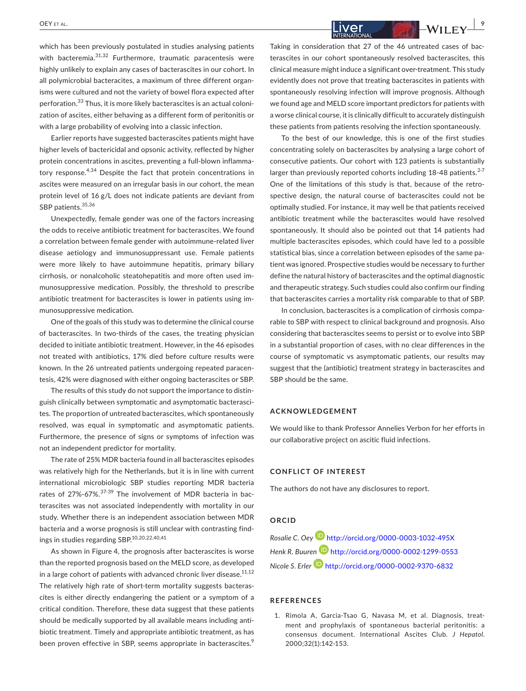which has been previously postulated in studies analysing patients with bacteremia.<sup>31,32</sup> Furthermore, traumatic paracentesis were highly unlikely to explain any cases of bacterascites in our cohort. In all polymicrobial bacteracites, a maximum of three different organisms were cultured and not the variety of bowel flora expected after perforation.<sup>33</sup> Thus, it is more likely bacterascites is an actual colonization of ascites, either behaving as a different form of peritonitis or with a large probability of evolving into a classic infection.

Earlier reports have suggested bacterascites patients might have higher levels of bactericidal and opsonic activity, reflected by higher protein concentrations in ascites, preventing a full-blown inflammatory response.<sup>4,34</sup> Despite the fact that protein concentrations in ascites were measured on an irregular basis in our cohort, the mean protein level of 16 g/L does not indicate patients are deviant from SBP patients. 35,36

Unexpectedly, female gender was one of the factors increasing the odds to receive antibiotic treatment for bacterascites. We found a correlation between female gender with autoimmune-related liver disease aetiology and immunosuppressant use. Female patients were more likely to have autoimmune hepatitis, primary biliary cirrhosis, or nonalcoholic steatohepatitis and more often used immunosuppressive medication. Possibly, the threshold to prescribe antibiotic treatment for bacterascites is lower in patients using immunosuppressive medication.

One of the goals of this study was to determine the clinical course of bacterascites. In two-thirds of the cases, the treating physician decided to initiate antibiotic treatment. However, in the 46 episodes not treated with antibiotics, 17% died before culture results were known. In the 26 untreated patients undergoing repeated paracentesis, 42% were diagnosed with either ongoing bacterascites or SBP.

The results of this study do not support the importance to distinguish clinically between symptomatic and asymptomatic bacterascites. The proportion of untreated bacterascites, which spontaneously resolved, was equal in symptomatic and asymptomatic patients. Furthermore, the presence of signs or symptoms of infection was not an independent predictor for mortality.

The rate of 25% MDR bacteria found in all bacterascites episodes was relatively high for the Netherlands, but it is in line with current international microbiologic SBP studies reporting MDR bacteria rates of 27%-67%.37-39 The involvement of MDR bacteria in bacterascites was not associated independently with mortality in our study. Whether there is an independent association between MDR bacteria and a worse prognosis is still unclear with contrasting findings in studies regarding SBP.<sup>10,20,22,40,41</sup>

As shown in Figure 4, the prognosis after bacterascites is worse than the reported prognosis based on the MELD score, as developed in a large cohort of patients with advanced chronic liver disease.<sup>11,12</sup> The relatively high rate of short-term mortality suggests bacterascites is either directly endangering the patient or a symptom of a critical condition. Therefore, these data suggest that these patients should be medically supported by all available means including antibiotic treatment. Timely and appropriate antibiotic treatment, as has been proven effective in SBP, seems appropriate in bacterascites.<sup>9</sup>

# **|** OEY et al. **9**

Taking in consideration that 27 of the 46 untreated cases of bacterascites in our cohort spontaneously resolved bacterascites, this clinical measure might induce a significant over-treatment. This study evidently does not prove that treating bacterascites in patients with spontaneously resolving infection will improve prognosis. Although we found age and MELD score important predictors for patients with a worse clinical course, it is clinically difficult to accurately distinguish these patients from patients resolving the infection spontaneously.

To the best of our knowledge, this is one of the first studies concentrating solely on bacterascites by analysing a large cohort of consecutive patients. Our cohort with 123 patients is substantially larger than previously reported cohorts including  $18-48$  patients.<sup>2-7</sup> One of the limitations of this study is that, because of the retrospective design, the natural course of bacterascites could not be optimally studied. For instance, it may well be that patients received antibiotic treatment while the bacterascites would have resolved spontaneously. It should also be pointed out that 14 patients had multiple bacterascites episodes, which could have led to a possible statistical bias, since a correlation between episodes of the same patient was ignored. Prospective studies would be necessary to further define the natural history of bacterascites and the optimal diagnostic and therapeutic strategy. Such studies could also confirm our finding that bacterascites carries a mortality risk comparable to that of SBP.

In conclusion, bacterascites is a complication of cirrhosis comparable to SBP with respect to clinical background and prognosis. Also considering that bacterascites seems to persist or to evolve into SBP in a substantial proportion of cases, with no clear differences in the course of symptomatic vs asymptomatic patients, our results may suggest that the (antibiotic) treatment strategy in bacterascites and SBP should be the same.

#### **ACKNOWLEDGEMENT**

We would like to thank Professor Annelies Verbon for her efforts in our collaborative project on ascitic fluid infections.

#### **CONFLICT OF INTEREST**

The authors do not have any disclosures to report.

#### **ORCID**

*Rosalie C. Oey* <http://orcid.org/0000-0003-1032-495X> *Henk R. Buuren* <http://orcid.org/0000-0002-1299-0553> *Nicole S. Erler* <http://orcid.org/0000-0002-9370-6832>

#### **REFERENCES**

1. Rimola A, Garcia-Tsao G, Navasa M, et al. Diagnosis, treatment and prophylaxis of spontaneous bacterial peritonitis: a consensus document. International Ascites Club. *J Hepatol*. 2000;32(1):142‐153.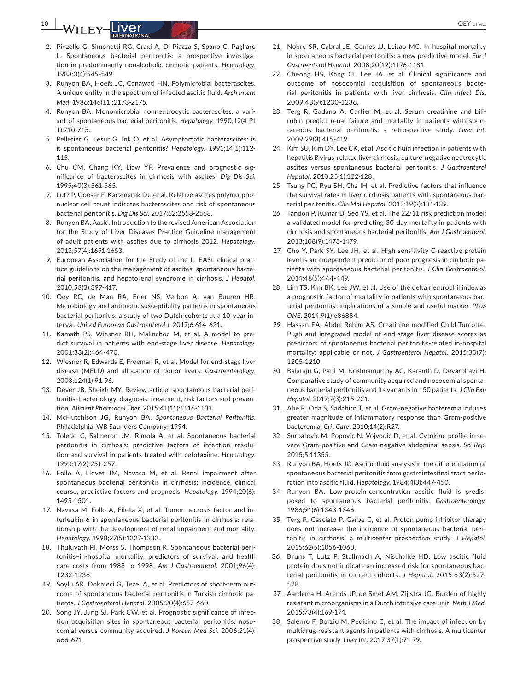**10 |** *MILEY* |*IVAL**<b><i>PHILARECORD <b>PILEY OEY ETAL.* 

- 2. Pinzello G, Simonetti RG, Craxi A, Di Piazza S, Spano C, Pagliaro L. Spontaneous bacterial peritonitis: a prospective investigation in predominantly nonalcoholic cirrhotic patients. *Hepatology*. 1983;3(4):545‐549.
- 3. Runyon BA, Hoefs JC, Canawati HN. Polymicrobial bacterascites. A unique entity in the spectrum of infected ascitic fluid. *Arch Intern Med*. 1986;146(11):2173‐2175.
- 4. Runyon BA. Monomicrobial nonneutrocytic bacterascites: a variant of spontaneous bacterial peritonitis. *Hepatology*. 1990;12(4 Pt 1):710‐715.
- 5. Pelletier G, Lesur G, Ink O, et al. Asymptomatic bacterascites: is it spontaneous bacterial peritonitis? *Hepatology*. 1991;14(1):112‐ 115.
- 6. Chu CM, Chang KY, Liaw YF. Prevalence and prognostic significance of bacterascites in cirrhosis with ascites. *Dig Dis Sci*. 1995;40(3):561‐565.
- 7. Lutz P, Goeser F, Kaczmarek DJ, et al. Relative ascites polymorphonuclear cell count indicates bacterascites and risk of spontaneous bacterial peritonitis. *Dig Dis Sci*. 2017;62:2558‐2568.
- 8. Runyon BA, Aasld. Introduction to the revised American Association for the Study of Liver Diseases Practice Guideline management of adult patients with ascites due to cirrhosis 2012. *Hepatology*. 2013;57(4):1651‐1653.
- 9. European Association for the Study of the L. EASL clinical practice guidelines on the management of ascites, spontaneous bacterial peritonitis, and hepatorenal syndrome in cirrhosis. *J Hepatol*. 2010;53(3):397‐417.
- 10. Oey RC, de Man RA, Erler NS, Verbon A, van Buuren HR. Microbiology and antibiotic susceptibility patterns in spontaneous bacterial peritonitis: a study of two Dutch cohorts at a 10-year interval. *United European Gastroenterol J*. 2017;6:614‐621.
- 11. Kamath PS, Wiesner RH, Malinchoc M, et al. A model to predict survival in patients with end-stage liver disease. *Hepatology*. 2001;33(2):464‐470.
- 12. Wiesner R, Edwards E, Freeman R, et al. Model for end-stage liver disease (MELD) and allocation of donor livers. *Gastroenterology*. 2003;124(1):91‐96.
- 13. Dever JB, Sheikh MY. Review article: spontaneous bacterial peritonitis–bacteriology, diagnosis, treatment, risk factors and prevention. *Aliment Pharmacol Ther*. 2015;41(11):1116‐1131.
- 14. McHutchison JG, Runyon BA. *Spontaneous Bacterial Peritonitis*. Philadelphia: WB Saunders Company; 1994.
- 15. Toledo C, Salmeron JM, Rimola A, et al. Spontaneous bacterial peritonitis in cirrhosis: predictive factors of infection resolution and survival in patients treated with cefotaxime. *Hepatology*. 1993;17(2):251‐257.
- 16. Follo A, Llovet JM, Navasa M, et al. Renal impairment after spontaneous bacterial peritonitis in cirrhosis: incidence, clinical course, predictive factors and prognosis. *Hepatology*. 1994;20(6): 1495‐1501.
- 17. Navasa M, Follo A, Filella X, et al. Tumor necrosis factor and interleukin-6 in spontaneous bacterial peritonitis in cirrhosis: relationship with the development of renal impairment and mortality. *Hepatology*. 1998;27(5):1227‐1232.
- 18. Thuluvath PJ, Morss S, Thompson R. Spontaneous bacterial peritonitis–in-hospital mortality, predictors of survival, and health care costs from 1988 to 1998. *Am J Gastroenterol*. 2001;96(4): 1232‐1236.
- 19. Soylu AR, Dokmeci G, Tezel A, et al. Predictors of short-term outcome of spontaneous bacterial peritonitis in Turkish cirrhotic patients. *J Gastroenterol Hepatol*. 2005;20(4):657‐660.
- 20. Song JY, Jung SJ, Park CW, et al. Prognostic significance of infection acquisition sites in spontaneous bacterial peritonitis: nosocomial versus community acquired. *J Korean Med Sci*. 2006;21(4): 666‐671.
- 21. Nobre SR, Cabral JE, Gomes JJ, Leitao MC. In-hospital mortality in spontaneous bacterial peritonitis: a new predictive model. *Eur J Gastroenterol Hepatol*. 2008;20(12):1176‐1181.
- 22. Cheong HS, Kang CI, Lee JA, et al. Clinical significance and outcome of nosocomial acquisition of spontaneous bacterial peritonitis in patients with liver cirrhosis. *Clin Infect Dis*. 2009;48(9):1230‐1236.
- 23. Terg R, Gadano A, Cartier M, et al. Serum creatinine and bilirubin predict renal failure and mortality in patients with spontaneous bacterial peritonitis: a retrospective study. *Liver Int*. 2009;29(3):415‐419.
- 24. Kim SU, Kim DY, Lee CK, et al. Ascitic fluid infection in patients with hepatitis B virus-related liver cirrhosis: culture-negative neutrocytic ascites versus spontaneous bacterial peritonitis. *J Gastroenterol Hepatol*. 2010;25(1):122‐128.
- 25. Tsung PC, Ryu SH, Cha IH, et al. Predictive factors that influence the survival rates in liver cirrhosis patients with spontaneous bacterial peritonitis. *Clin Mol Hepatol*. 2013;19(2):131‐139.
- 26. Tandon P, Kumar D, Seo YS, et al. The 22/11 risk prediction model: a validated model for predicting 30-day mortality in patients with cirrhosis and spontaneous bacterial peritonitis. *Am J Gastroenterol*. 2013;108(9):1473‐1479.
- 27. Cho Y, Park SY, Lee JH, et al. High-sensitivity C-reactive protein level is an independent predictor of poor prognosis in cirrhotic patients with spontaneous bacterial peritonitis. *J Clin Gastroenterol*. 2014;48(5):444‐449.
- 28. Lim TS, Kim BK, Lee JW, et al. Use of the delta neutrophil index as a prognostic factor of mortality in patients with spontaneous bacterial peritonitis: implications of a simple and useful marker. *PLoS ONE*. 2014;9(1):e86884.
- 29. Hassan EA, Abdel Rehim AS. Creatinine modified Child-Turcotte-Pugh and integrated model of end-stage liver disease scores as predictors of spontaneous bacterial peritonitis-related in-hospital mortality: applicable or not. *J Gastroenterol Hepatol*. 2015;30(7): 1205‐1210.
- 30. Balaraju G, Patil M, Krishnamurthy AC, Karanth D, Devarbhavi H. Comparative study of community acquired and nosocomial spontaneous bacterial peritonitis and its variants in 150 patients. *J Clin Exp Hepatol*. 2017;7(3):215‐221.
- 31. Abe R, Oda S, Sadahiro T, et al. Gram-negative bacteremia induces greater magnitude of inflammatory response than Gram-positive bacteremia. *Crit Care*. 2010;14(2):R27.
- 32. Surbatovic M, Popovic N, Vojvodic D, et al. Cytokine profile in severe Gram-positive and Gram-negative abdominal sepsis. *Sci Rep*. 2015;5:11355.
- 33. Runyon BA, Hoefs JC. Ascitic fluid analysis in the differentiation of spontaneous bacterial peritonitis from gastrointestinal tract perforation into ascitic fluid. *Hepatology*. 1984;4(3):447‐450.
- 34. Runyon BA. Low-protein-concentration ascitic fluid is predisposed to spontaneous bacterial peritonitis. *Gastroenterology*. 1986;91(6):1343‐1346.
- 35. Terg R, Casciato P, Garbe C, et al. Proton pump inhibitor therapy does not increase the incidence of spontaneous bacterial peritonitis in cirrhosis: a multicenter prospective study. *J Hepatol*. 2015;62(5):1056‐1060.
- 36. Bruns T, Lutz P, Stallmach A, Nischalke HD. Low ascitic fluid protein does not indicate an increased risk for spontaneous bacterial peritonitis in current cohorts. *J Hepatol*. 2015;63(2):527‐ 528.
- 37. Aardema H, Arends JP, de Smet AM, Zijlstra JG. Burden of highly resistant microorganisms in a Dutch intensive care unit. *Neth J Med*. 2015;73(4):169‐174.
- 38. Salerno F, Borzio M, Pedicino C, et al. The impact of infection by multidrug-resistant agents in patients with cirrhosis. A multicenter prospective study. *Liver Int*. 2017;37(1):71‐79.